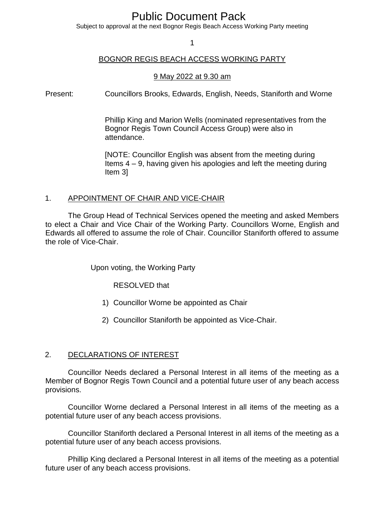# Public Document Pack

Subject to approval at the next Bognor Regis Beach Access Working Party meeting

1

## BOGNOR REGIS BEACH ACCESS WORKING PARTY

#### 9 May 2022 at 9.30 am

Present: Councillors Brooks, Edwards, English, Needs, Staniforth and Worne

Phillip King and Marion Wells (nominated representatives from the Bognor Regis Town Council Access Group) were also in attendance.

[NOTE: Councillor English was absent from the meeting during Items 4 – 9, having given his apologies and left the meeting during Item 3]

#### 1. APPOINTMENT OF CHAIR AND VICE-CHAIR

The Group Head of Technical Services opened the meeting and asked Members to elect a Chair and Vice Chair of the Working Party. Councillors Worne, English and Edwards all offered to assume the role of Chair. Councillor Staniforth offered to assume the role of Vice-Chair.

Upon voting, the Working Party

RESOLVED that

- 1) Councillor Worne be appointed as Chair
- 2) Councillor Staniforth be appointed as Vice-Chair.

#### 2. DECLARATIONS OF INTEREST

Councillor Needs declared a Personal Interest in all items of the meeting as a Member of Bognor Regis Town Council and a potential future user of any beach access provisions.

Councillor Worne declared a Personal Interest in all items of the meeting as a potential future user of any beach access provisions.

Councillor Staniforth declared a Personal Interest in all items of the meeting as a potential future user of any beach access provisions.

Phillip King declared a Personal Interest in all items of the meeting as a potential future user of any beach access provisions.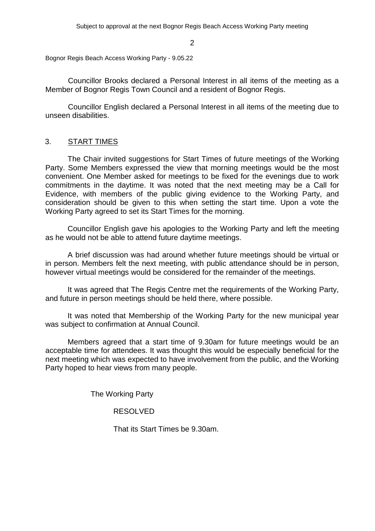Bognor Regis Beach Access Working Party - 9.05.22

Councillor Brooks declared a Personal Interest in all items of the meeting as a Member of Bognor Regis Town Council and a resident of Bognor Regis.

Councillor English declared a Personal Interest in all items of the meeting due to unseen disabilities.

# 3. START TIMES

The Chair invited suggestions for Start Times of future meetings of the Working Party. Some Members expressed the view that morning meetings would be the most convenient. One Member asked for meetings to be fixed for the evenings due to work commitments in the daytime. It was noted that the next meeting may be a Call for Evidence, with members of the public giving evidence to the Working Party, and consideration should be given to this when setting the start time. Upon a vote the Working Party agreed to set its Start Times for the morning.

Councillor English gave his apologies to the Working Party and left the meeting as he would not be able to attend future daytime meetings.

A brief discussion was had around whether future meetings should be virtual or in person. Members felt the next meeting, with public attendance should be in person, however virtual meetings would be considered for the remainder of the meetings.

It was agreed that The Regis Centre met the requirements of the Working Party, and future in person meetings should be held there, where possible.

It was noted that Membership of the Working Party for the new municipal year was subject to confirmation at Annual Council.

Members agreed that a start time of 9.30am for future meetings would be an acceptable time for attendees. It was thought this would be especially beneficial for the next meeting which was expected to have involvement from the public, and the Working Party hoped to hear views from many people.

The Working Party

#### RESOLVED

That its Start Times be 9.30am.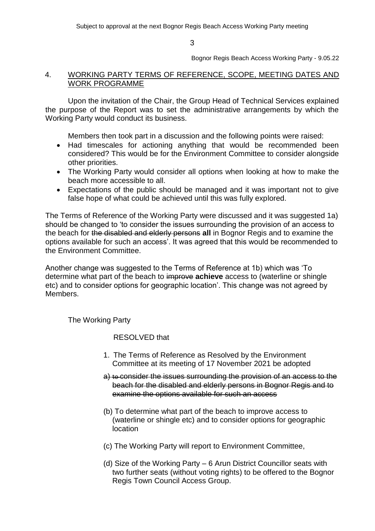Bognor Regis Beach Access Working Party - 9.05.22

### 4. WORKING PARTY TERMS OF REFERENCE, SCOPE, MEETING DATES AND WORK PROGRAMME

Upon the invitation of the Chair, the Group Head of Technical Services explained the purpose of the Report was to set the administrative arrangements by which the Working Party would conduct its business.

Members then took part in a discussion and the following points were raised:

- Had timescales for actioning anything that would be recommended been considered? This would be for the Environment Committee to consider alongside other priorities.
- The Working Party would consider all options when looking at how to make the beach more accessible to all.
- Expectations of the public should be managed and it was important not to give false hope of what could be achieved until this was fully explored.

The Terms of Reference of the Working Party were discussed and it was suggested 1a) should be changed to 'to consider the issues surrounding the provision of an access to the beach for the disabled and elderly persons **all** in Bognor Regis and to examine the options available for such an access'. It was agreed that this would be recommended to the Environment Committee.

Another change was suggested to the Terms of Reference at 1b) which was 'To determine what part of the beach to improve **achieve** access to (waterline or shingle etc) and to consider options for geographic location'. This change was not agreed by Members.

The Working Party

RESOLVED that

- 1. The Terms of Reference as Resolved by the Environment Committee at its meeting of 17 November 2021 be adopted
- a) to consider the issues surrounding the provision of an access to the beach for the disabled and elderly persons in Bognor Regis and to examine the options available for such an access
- (b) To determine what part of the beach to improve access to (waterline or shingle etc) and to consider options for geographic location
- (c) The Working Party will report to Environment Committee,
- (d) Size of the Working Party 6 Arun District Councillor seats with two further seats (without voting rights) to be offered to the Bognor Regis Town Council Access Group.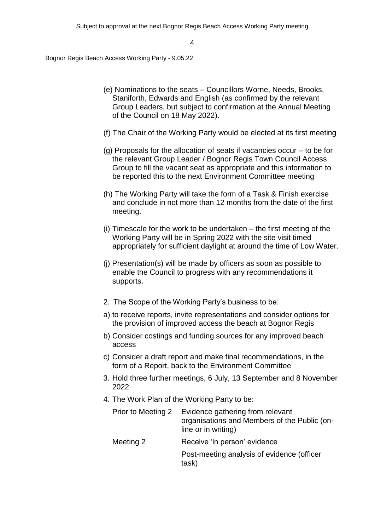Bognor Regis Beach Access Working Party - 9.05.22

- (e) Nominations to the seats Councillors Worne, Needs, Brooks, Staniforth, Edwards and English (as confirmed by the relevant Group Leaders, but subject to confirmation at the Annual Meeting of the Council on 18 May 2022).
- (f) The Chair of the Working Party would be elected at its first meeting
- (g) Proposals for the allocation of seats if vacancies occur to be for the relevant Group Leader / Bognor Regis Town Council Access Group to fill the vacant seat as appropriate and this information to be reported this to the next Environment Committee meeting
- (h) The Working Party will take the form of a Task & Finish exercise and conclude in not more than 12 months from the date of the first meeting.
- (i) Timescale for the work to be undertaken the first meeting of the Working Party will be in Spring 2022 with the site visit timed appropriately for sufficient daylight at around the time of Low Water.
- (j) Presentation(s) will be made by officers as soon as possible to enable the Council to progress with any recommendations it supports.
- 2. The Scope of the Working Party's business to be:
- a) to receive reports, invite representations and consider options for the provision of improved access the beach at Bognor Regis
- b) Consider costings and funding sources for any improved beach access
- c) Consider a draft report and make final recommendations, in the form of a Report, back to the Environment Committee
- 3. Hold three further meetings, 6 July, 13 September and 8 November 2022
- 4. The Work Plan of the Working Party to be:

| Prior to Meeting 2 | Evidence gathering from relevant<br>organisations and Members of the Public (on-<br>line or in writing) |
|--------------------|---------------------------------------------------------------------------------------------------------|
| Meeting 2          | Receive 'in person' evidence                                                                            |
|                    | Post-meeting analysis of evidence (officer<br>task)                                                     |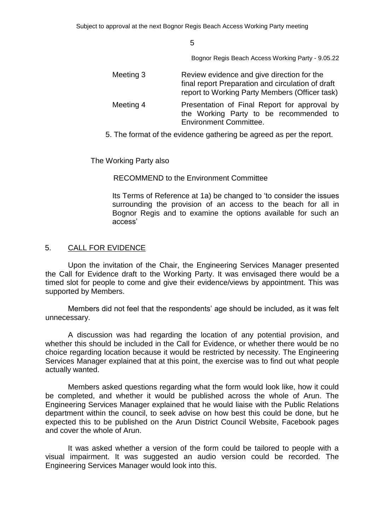Bognor Regis Beach Access Working Party - 9.05.22

| Meeting 3 | Review evidence and give direction for the<br>final report Preparation and circulation of draft<br>report to Working Party Members (Officer task) |
|-----------|---------------------------------------------------------------------------------------------------------------------------------------------------|
| Meeting 4 | Presentation of Final Report for approval by<br>the Working Party to be recommended to<br><b>Environment Committee.</b>                           |

5. The format of the evidence gathering be agreed as per the report.

The Working Party also

RECOMMEND to the Environment Committee

Its Terms of Reference at 1a) be changed to 'to consider the issues surrounding the provision of an access to the beach for all in Bognor Regis and to examine the options available for such an access'

# 5. CALL FOR EVIDENCE

Upon the invitation of the Chair, the Engineering Services Manager presented the Call for Evidence draft to the Working Party. It was envisaged there would be a timed slot for people to come and give their evidence/views by appointment. This was supported by Members.

Members did not feel that the respondents' age should be included, as it was felt unnecessary.

A discussion was had regarding the location of any potential provision, and whether this should be included in the Call for Evidence, or whether there would be no choice regarding location because it would be restricted by necessity. The Engineering Services Manager explained that at this point, the exercise was to find out what people actually wanted.

Members asked questions regarding what the form would look like, how it could be completed, and whether it would be published across the whole of Arun. The Engineering Services Manager explained that he would liaise with the Public Relations department within the council, to seek advise on how best this could be done, but he expected this to be published on the Arun District Council Website, Facebook pages and cover the whole of Arun.

It was asked whether a version of the form could be tailored to people with a visual impairment. It was suggested an audio version could be recorded. The Engineering Services Manager would look into this.